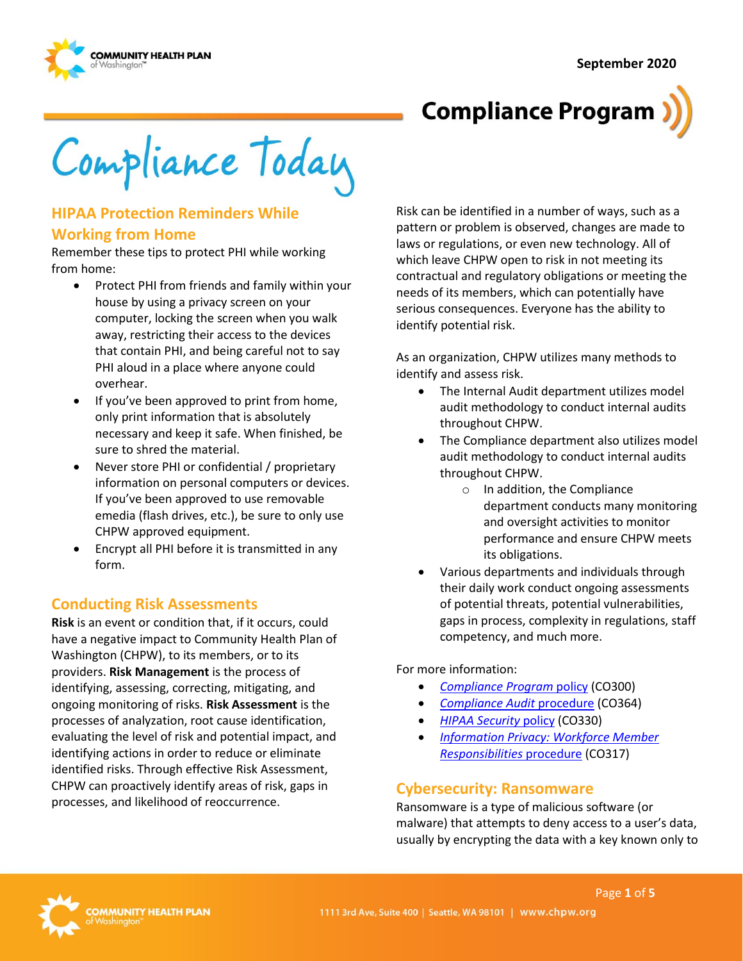

# **Compliance Program**

Compliance Today

## **HIPAA Protection Reminders While Working from Home**

Remember these tips to protect PHI while working from home:

- • Protect PHI from friends and family within your that contain PHI, and being careful not to say house by using a privacy screen on your computer, locking the screen when you walk away, restricting their access to the devices PHI aloud in a place where anyone could overhear.
- If you've been approved to print from home, only print information that is absolutely necessary and keep it safe. When finished, be sure to shred the material.
- Never store PHI or confidential / proprietary information on personal computers or devices. If you've been approved to use removable emedia (flash drives, etc.), be sure to only use CHPW approved equipment.
- • Encrypt all PHI before it is transmitted in any form.

### **Conducting Risk Assessments**

 **Risk** is an event or condition that, if it occurs, could Washington (CHPW), to its members, or to its ongoing monitoring of risks. **Risk Assessment** is the processes, and likelihood of reoccurrence. have a negative impact to Community Health Plan of providers. **Risk Management** is the process of identifying, assessing, correcting, mitigating, and processes of analyzation, root cause identification, evaluating the level of risk and potential impact, and identifying actions in order to reduce or eliminate identified risks. Through effective Risk Assessment, CHPW can proactively identify areas of risk, gaps in

 contractual and regulatory obligations or meeting the Risk can be identified in a number of ways, such as a pattern or problem is observed, changes are made to laws or regulations, or even new technology. All of which leave CHPW open to risk in not meeting its needs of its members, which can potentially have serious consequences. Everyone has the ability to identify potential risk.

 As an organization, CHPW utilizes many methods to identify and assess risk.

- The Internal Audit department utilizes model audit methodology to conduct internal audits throughout CHPW.
- The Compliance department also utilizes model audit methodology to conduct internal audits throughout CHPW.
	- department conducts many monitoring o In addition, the Compliance and oversight activities to monitor performance and ensure CHPW meets its obligations.
- Various departments and individuals through their daily work conduct ongoing assessments of potential threats, potential vulnerabilities, gaps in process, complexity in regulations, staff competency, and much more.

For more information:

- *[Compliance Program](http://chpsp/PP/Compliance/Compliance%20Program%20Policy%20-%20CO300.pdf)* policy (CO300)
- *[Compliance Audit](http://chpsp/PP/Compliance/Compliance%20Audit%20Procedure%20-%20CO364.pdf)* procedure (CO364)
- *[HIPAA Security](http://chpsp/PP/Compliance/HIPAA%20Security%20Policy%20-%20CO330.pdf)* policy (CO330)
- *[Responsibilities](http://chpsp/PP/Compliance/Information%20Privacy%20Workforce%20Member%20Responsibilities%20Procedure%20-%20CO317.pdf)* procedure (CO317) • *[Information Privacy: Workforce Member](http://chpsp/PP/Compliance/Information%20Privacy%20Workforce%20Member%20Responsibilities%20Procedure%20-%20CO317.pdf)*

### **Cybersecurity: Ransomware**

 usually by encrypting the data with a key known only to Ransomware is a type of malicious software (or malware) that attempts to deny access to a user's data,

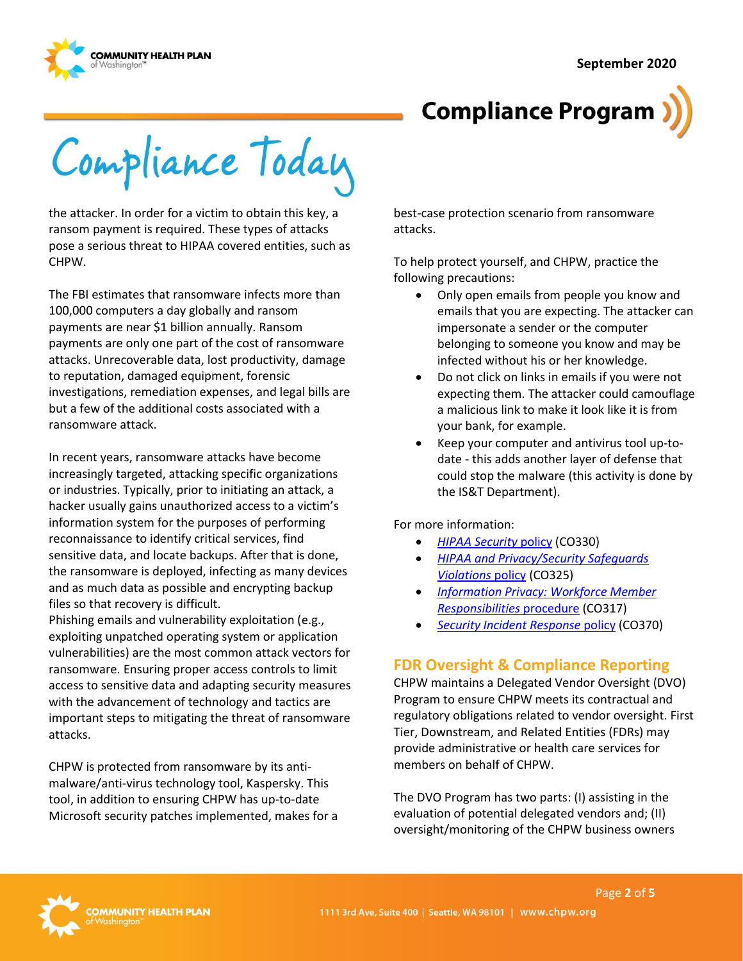



Compliance Today

 the attacker. In order for a victim to obtain this key, a ransom payment is required. These types of attacks pose a serious threat to HIPAA covered entities, such as CHPW.

The FBI estimates that ransomware infects more than 100,000 computers a day globally and ransom payments are near \$1 billion annually. Ransom payments are only one part of the cost of ransomware attacks. Unrecoverable data, lost productivity, damage to reputation, damaged equipment, forensic investigations, remediation expenses, and legal bills are but a few of the additional costs associated with a ransomware attack.

In recent years, ransomware attacks have become increasingly targeted, attacking specific organizations or industries. Typically, prior to initiating an attack, a hacker usually gains unauthorized access to a victim's information system for the purposes of performing reconnaissance to identify critical services, find sensitive data, and locate backups. After that is done, the ransomware is deployed, infecting as many devices and as much data as possible and encrypting backup files so that recovery is difficult.

Phishing emails and vulnerability exploitation (e.g., exploiting unpatched operating system or application vulnerabilities) are the most common attack vectors for ransomware. Ensuring proper access controls to limit access to sensitive data and adapting security measures with the advancement of technology and tactics are important steps to mitigating the threat of ransomware attacks.

CHPW is protected from ransomware by its antimalware/anti-virus technology tool, Kaspersky. This tool, in addition to ensuring CHPW has up-to-date Microsoft security patches implemented, makes for a best-case protection scenario from ransomware attacks.

To help protect yourself, and CHPW, practice the following precautions:

- Only open emails from people you know and emails that you are expecting. The attacker can impersonate a sender or the computer belonging to someone you know and may be infected without his or her knowledge.
- Do not click on links in emails if you were not expecting them. The attacker could camouflage a malicious link to make it look like it is from your bank, for example.
- Keep your computer and antivirus tool up-todate - this adds another layer of defense that could stop the malware (this activity is done by the IS&T Department).

For more information:

- *[HIPAA Security](http://chpsp/PP/Compliance/HIPAA%20Security%20Policy%20-%20CO330.pdf)* policy (CO330)
- *[HIPAA and Privacy/Security Safeguards](http://chpsp/PP/Compliance/HIPAA%20and%20Privacy%20Security%20Safeguards%20Violations%20Policy%20-%20CO325.pdf)  [Violations](http://chpsp/PP/Compliance/HIPAA%20and%20Privacy%20Security%20Safeguards%20Violations%20Policy%20-%20CO325.pdf)* policy (CO325)
- *[Information Privacy: Workforce Member](http://chpsp/PP/Compliance/Information%20Privacy%20Workforce%20Member%20Responsibilities%20Procedure%20-%20CO317.pdf)  [Responsibilities](http://chpsp/PP/Compliance/Information%20Privacy%20Workforce%20Member%20Responsibilities%20Procedure%20-%20CO317.pdf)* procedure (CO317)
- **[Security Incident Response](http://chpsp/PP/Compliance/Security%20Incident%20Response%20Policy%20-%20CO370.pdf) policy (CO370)**

# **FDR Oversight & Compliance Reporting**

CHPW maintains a Delegated Vendor Oversight (DVO) Program to ensure CHPW meets its contractual and regulatory obligations related to vendor oversight. First Tier, Downstream, and Related Entities (FDRs) may provide administrative or health care services for members on behalf of CHPW.

The DVO Program has two parts: (I) assisting in the evaluation of potential delegated vendors and; (II) oversight/monitoring of the CHPW business owners

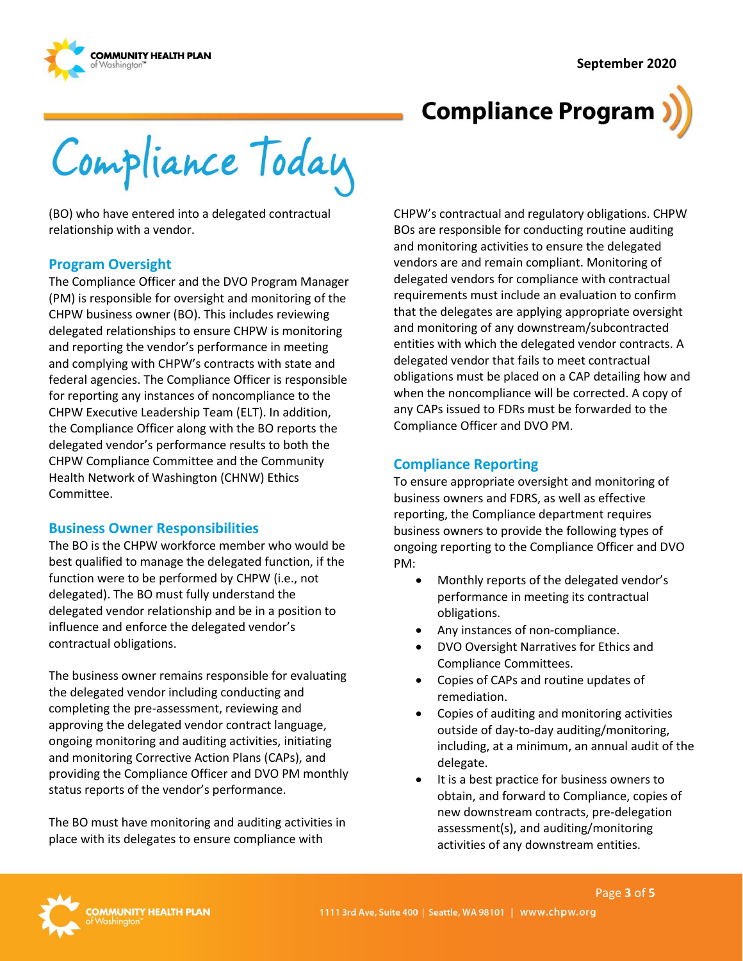

# **Compliance Program**

Compliance Today

(BO) who have entered into a delegated contractual relationship with a vendor.

#### **Program Oversight**

The Compliance Officer and the DVO Program Manager (PM) is responsible for oversight and monitoring of the CHPW business owner (BO). This includes reviewing delegated relationships to ensure CHPW is monitoring and reporting the vendor's performance in meeting and complying with CHPW's contracts with state and federal agencies. The Compliance Officer is responsible for reporting any instances of noncompliance to the CHPW Executive Leadership Team (ELT). In addition, the Compliance Officer along with the BO reports the delegated vendor's performance results to both the CHPW Compliance Committee and the Community Health Network of Washington (CHNW) Ethics Committee.

#### **Business Owner Responsibilities**

 delegated vendor relationship and be in a position to The BO is the CHPW workforce member who would be best qualified to manage the delegated function, if the function were to be performed by CHPW (i.e., not delegated). The BO must fully understand the influence and enforce the delegated vendor's contractual obligations.

 providing the Compliance Officer and DVO PM monthly The business owner remains responsible for evaluating the delegated vendor including conducting and completing the pre-assessment, reviewing and approving the delegated vendor contract language, ongoing monitoring and auditing activities, initiating and monitoring Corrective Action Plans (CAPs), and status reports of the vendor's performance.

The BO must have monitoring and auditing activities in place with its delegates to ensure compliance with

 requirements must include an evaluation to confirm delegated vendor that fails to meet contractual when the noncompliance will be corrected. A copy of any CAPs issued to FDRs must be forwarded to the CHPW's contractual and regulatory obligations. CHPW BOs are responsible for conducting routine auditing and monitoring activities to ensure the delegated vendors are and remain compliant. Monitoring of delegated vendors for compliance with contractual that the delegates are applying appropriate oversight and monitoring of any downstream/subcontracted entities with which the delegated vendor contracts. A obligations must be placed on a CAP detailing how and Compliance Officer and DVO PM.

#### **Compliance Reporting**

 ongoing reporting to the Compliance Officer and DVO To ensure appropriate oversight and monitoring of business owners and FDRS, as well as effective reporting, the Compliance department requires business owners to provide the following types of PM:

- Monthly reports of the delegated vendor's performance in meeting its contractual obligations.
- Any instances of non-compliance.
- DVO Oversight Narratives for Ethics and Compliance Committees.
- Copies of CAPs and routine updates of remediation.
- Copies of auditing and monitoring activities outside of day-to-day auditing/monitoring, including, at a minimum, an annual audit of the delegate.
- It is a best practice for business owners to obtain, and forward to Compliance, copies of new downstream contracts, pre-delegation assessment(s), and auditing/monitoring activities of any downstream entities.

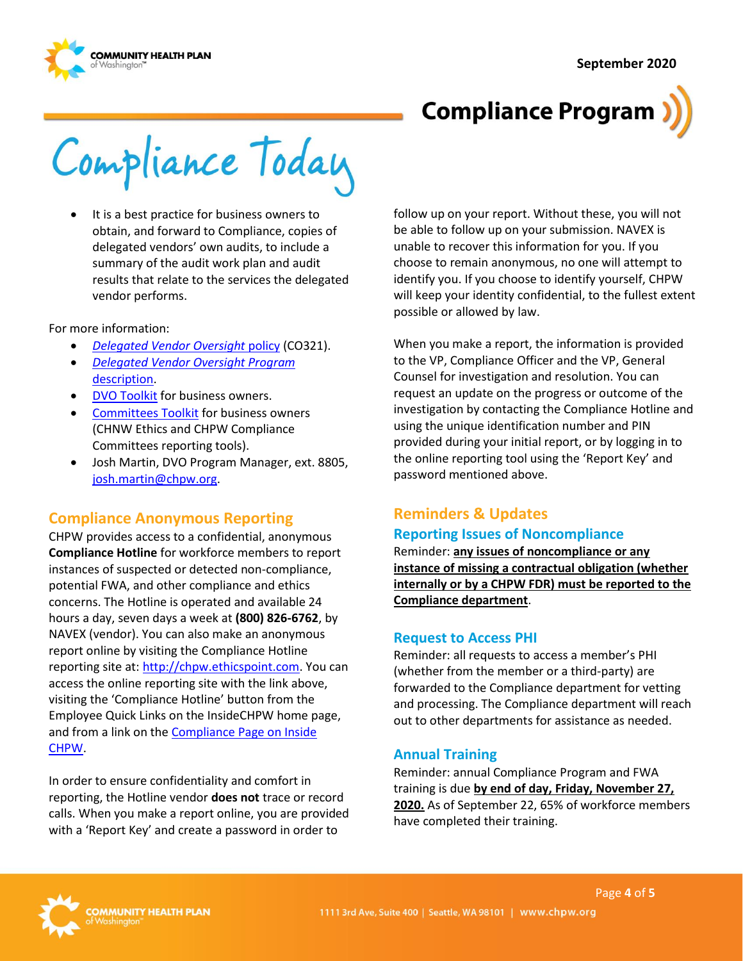

# **Compliance Program**

Compliance Today

• It is a best practice for business owners to obtain, and forward to Compliance, copies of delegated vendors' own audits, to include a summary of the audit work plan and audit results that relate to the services the delegated vendor performs.

For more information:

- *[Delegated Vendor Oversight](http://chpsp/PP/Compliance/Delegated%20Vendor%20Oversight%20Policy%20-%20CO321.pdf)* policy (CO321).
- *[Delegated Vendor Oversight Program](http://chpsp/PP/Compliance/Delegated%20Vendor%20Oversight%20Program%20Description%20-%20CO-PROG5.pdf)*  [description.](http://chpsp/PP/Compliance/Delegated%20Vendor%20Oversight%20Program%20Description%20-%20CO-PROG5.pdf)
- [DVO Toolkit](https://inside.chpw.org/departments/compliance/dvo_toolkit) for business owners.
- [Committees Toolkit](https://inside.chpw.org/departments/compliance/committees_toolkit) for business owners (CHNW Ethics and CHPW Compliance Committees reporting tools).
- Josh Martin, DVO Program Manager, ext. 8805, [josh.martin@chpw.org.](mailto:josh.martin@chpw.org)

### **Compliance Anonymous Reporting**

reporting site at: [http://chpw.ethicspoint.com.](http://chpw.ethicspoint.com/) You can CHPW provides access to a confidential, anonymous **Compliance Hotline** for workforce members to report instances of suspected or detected non-compliance, potential FWA, and other compliance and ethics concerns. The Hotline is operated and available 24 hours a day, seven days a week at **(800) 826-6762**, by NAVEX (vendor). You can also make an anonymous report online by visiting the Compliance Hotline access the online reporting site with the link above, visiting the 'Compliance Hotline' button from the Employee Quick Links on the InsideCHPW home page, and from a link on the [Compliance Page on Inside](https://inside.chpw.org/departments/compliance)  [CHPW.](https://inside.chpw.org/departments/compliance)

 In order to ensure confidentiality and comfort in reporting, the Hotline vendor **does not** trace or record calls. When you make a report online, you are provided with a 'Report Key' and create a password in order to

 follow up on your report. Without these, you will not be able to follow up on your submission. NAVEX is unable to recover this information for you. If you choose to remain anonymous, no one will attempt to identify you. If you choose to identify yourself, CHPW will keep your identity confidential, to the fullest extent possible or allowed by law.

When you make a report, the information is provided to the VP, Compliance Officer and the VP, General Counsel for investigation and resolution. You can request an update on the progress or outcome of the investigation by contacting the Compliance Hotline and using the unique identification number and PIN provided during your initial report, or by logging in to the online reporting tool using the 'Report Key' and password mentioned above.

### **Reminders & Updates Reporting Issues of Noncompliance**

 **instance of missing a contractual obligation (whether internally or by a CHPW FDR) must be reported to the**  Reminder: **any issues of noncompliance or any Compliance department**.

### **Request to Access PHI**

Reminder: all requests to access a member's PHI (whether from the member or a third-party) are forwarded to the Compliance department for vetting and processing. The Compliance department will reach out to other departments for assistance as needed.

#### **Annual Training**

Reminder: annual Compliance Program and FWA training is due **by end of day, Friday, November 27, 2020.** As of September 22, 65% of workforce members have completed their training.

Page **4** of **5**